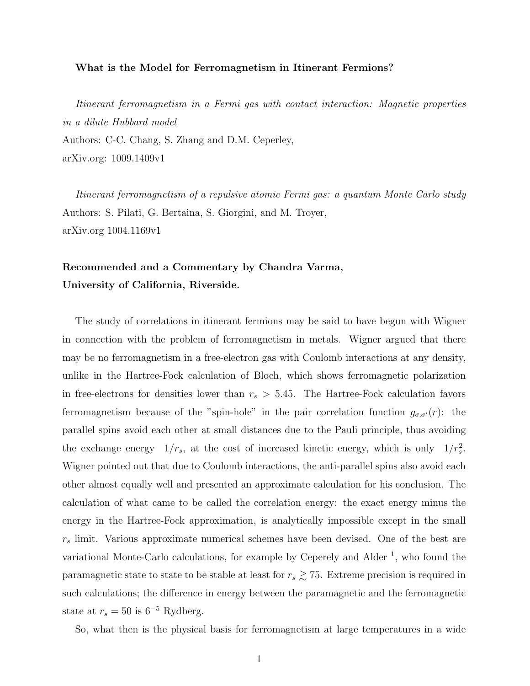## What is the Model for Ferromagnetism in Itinerant Fermions?

Itinerant ferromagnetism in a Fermi gas with contact interaction: Magnetic properties in a dilute Hubbard model Authors: C-C. Chang, S. Zhang and D.M. Ceperley, arXiv.org: 1009.1409v1

Itinerant ferromagnetism of a repulsive atomic Fermi gas: a quantum Monte Carlo study Authors: S. Pilati, G. Bertaina, S. Giorgini, and M. Troyer, arXiv.org 1004.1169v1

## Recommended and a Commentary by Chandra Varma, University of California, Riverside.

The study of correlations in itinerant fermions may be said to have begun with Wigner in connection with the problem of ferromagnetism in metals. Wigner argued that there may be no ferromagnetism in a free-electron gas with Coulomb interactions at any density, unlike in the Hartree-Fock calculation of Bloch, which shows ferromagnetic polarization in free-electrons for densities lower than  $r_s > 5.45$ . The Hartree-Fock calculation favors ferromagnetism because of the "spin-hole" in the pair correlation function  $g_{\sigma,\sigma'}(r)$ : the parallel spins avoid each other at small distances due to the Pauli principle, thus avoiding the exchange energy  $1/r_s$ , at the cost of increased kinetic energy, which is only  $1/r_s^2$ . Wigner pointed out that due to Coulomb interactions, the anti-parallel spins also avoid each other almost equally well and presented an approximate calculation for his conclusion. The calculation of what came to be called the correlation energy: the exact energy minus the energy in the Hartree-Fock approximation, is analytically impossible except in the small  $r<sub>s</sub>$  limit. Various approximate numerical schemes have been devised. One of the best are variational Monte-Carlo calculations, for example by Ceperely and Alder<sup>1</sup>, who found the paramagnetic state to state to be stable at least for  $r_s \gtrsim 75$ . Extreme precision is required in such calculations; the difference in energy between the paramagnetic and the ferromagnetic state at  $r_s = 50$  is 6<sup>-5</sup> Rydberg.

So, what then is the physical basis for ferromagnetism at large temperatures in a wide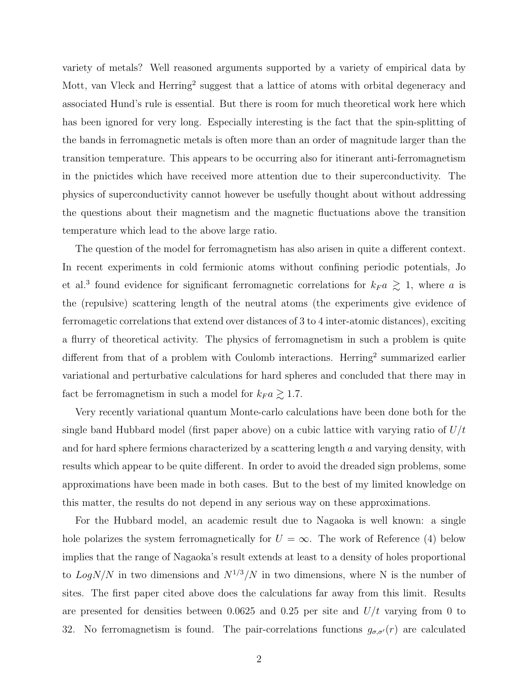variety of metals? Well reasoned arguments supported by a variety of empirical data by Mott, van Vleck and Herring<sup>2</sup> suggest that a lattice of atoms with orbital degeneracy and associated Hund's rule is essential. But there is room for much theoretical work here which has been ignored for very long. Especially interesting is the fact that the spin-splitting of the bands in ferromagnetic metals is often more than an order of magnitude larger than the transition temperature. This appears to be occurring also for itinerant anti-ferromagnetism in the pnictides which have received more attention due to their superconductivity. The physics of superconductivity cannot however be usefully thought about without addressing the questions about their magnetism and the magnetic fluctuations above the transition temperature which lead to the above large ratio.

The question of the model for ferromagnetism has also arisen in quite a different context. In recent experiments in cold fermionic atoms without confining periodic potentials, Jo et al.<sup>3</sup> found evidence for significant ferromagnetic correlations for  $k_F a \geq 1$ , where a is the (repulsive) scattering length of the neutral atoms (the experiments give evidence of ferromagetic correlations that extend over distances of 3 to 4 inter-atomic distances), exciting a flurry of theoretical activity. The physics of ferromagnetism in such a problem is quite different from that of a problem with Coulomb interactions. Herring<sup>2</sup> summarized earlier variational and perturbative calculations for hard spheres and concluded that there may in fact be ferromagnetism in such a model for  $k_F a \gtrsim 1.7$ .

Very recently variational quantum Monte-carlo calculations have been done both for the single band Hubbard model (first paper above) on a cubic lattice with varying ratio of  $U/t$ and for hard sphere fermions characterized by a scattering length  $a$  and varying density, with results which appear to be quite different. In order to avoid the dreaded sign problems, some approximations have been made in both cases. But to the best of my limited knowledge on this matter, the results do not depend in any serious way on these approximations.

For the Hubbard model, an academic result due to Nagaoka is well known: a single hole polarizes the system ferromagnetically for  $U = \infty$ . The work of Reference (4) below implies that the range of Nagaoka's result extends at least to a density of holes proportional to  $LogN/N$  in two dimensions and  $N^{1/3}/N$  in two dimensions, where N is the number of sites. The first paper cited above does the calculations far away from this limit. Results are presented for densities between 0.0625 and 0.25 per site and  $U/t$  varying from 0 to 32. No ferromagnetism is found. The pair-correlations functions  $g_{\sigma,\sigma'}(r)$  are calculated